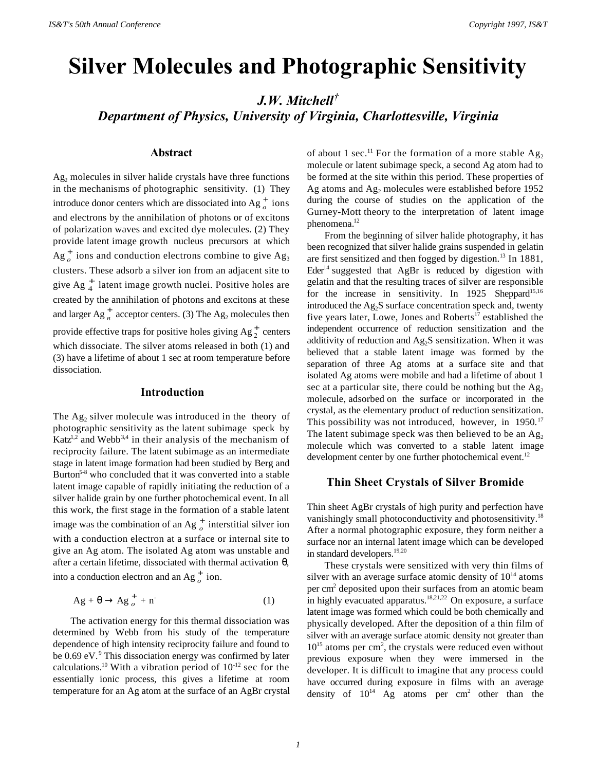# **Silver Molecules and Photographic Sensitivity**

*J.W. Mitchell† Department of Physics, University of Virginia, Charlottesville, Virginia*

## **Abstract**

 $Ag<sub>2</sub>$  molecules in silver halide crystals have three functions in the mechanisms of photographic sensitivity. (1) They introduce donor centers which are dissociated into  $Ag_{o}^{+}$  ions and electrons by the annihilation of photons or of excitons of polarization waves and excited dye molecules. (2) They provide latent image growth nucleus precursors at which  $Ag_{o}^{+}$  ions and conduction electrons combine to give  $Ag_{3}$ clusters. These adsorb a silver ion from an adjacent site to give  $Ag_{4}^{+}$  latent image growth nuclei. Positive holes are created by the annihilation of photons and excitons at these and larger  $Ag_n^+$  acceptor centers. (3) The  $Ag_2$  molecules then provide effective traps for positive holes giving  $Ag_2^+$  centers which dissociate. The silver atoms released in both (1) and (3) have a lifetime of about 1 sec at room temperature before dissociation.

#### **Introduction**

The  $Ag_2$  silver molecule was introduced in the theory of photographic sensitivity as the latent subimage speck by Katz<sup>1,2</sup> and Webb<sup>3,4</sup> in their analysis of the mechanism of reciprocity failure. The latent subimage as an intermediate stage in latent image formation had been studied by Berg and Burton<sup>5-8</sup> who concluded that it was converted into a stable latent image capable of rapidly initiating the reduction of a silver halide grain by one further photochemical event. In all this work, the first stage in the formation of a stable latent image was the combination of an Ag  $^+_o$  interstitial silver ion with a conduction electron at a surface or internal site to give an Ag atom. The isolated Ag atom was unstable and after a certain lifetime, dissociated with thermal activation  $θ$ , into a conduction electron and an  $Ag_{o}^{+}$  ion.

$$
Ag + \theta \rightarrow Ag_{o}^{+} + n
$$
 (1)

The activation energy for this thermal dissociation was determined by Webb from his study of the temperature dependence of high intensity reciprocity failure and found to be 0.69 eV.<sup>9</sup> This dissociation energy was confirmed by later calculations.<sup>10</sup> With a vibration period of  $10^{-12}$  sec for the essentially ionic process, this gives a lifetime at room temperature for an Ag atom at the surface of an AgBr crystal

of about 1 sec.<sup>11</sup> For the formation of a more stable  $Ag_2$ molecule or latent subimage speck, a second Ag atom had to be formed at the site within this period. These properties of Ag atoms and  $Ag_2$  molecules were established before 1952 during the course of studies on the application of the Gurney-Mott theory to the interpretation of latent image phenomena.<sup>12</sup>

From the beginning of silver halide photography, it has been recognized that silver halide grains suspended in gelatin are first sensitized and then fogged by digestion.<sup>13</sup> In 1881, Eder<sup>14</sup> suggested that AgBr is reduced by digestion with gelatin and that the resulting traces of silver are responsible for the increase in sensitivity. In 1925 Sheppard<sup>15,16</sup> introduced the  $Ag_2S$  surface concentration speck and, twenty five years later, Lowe, Jones and Roberts<sup>17</sup> established the independent occurrence of reduction sensitization and the additivity of reduction and  $Ag_2S$  sensitization. When it was believed that a stable latent image was formed by the separation of three Ag atoms at a surface site and that isolated Ag atoms were mobile and had a lifetime of about 1 sec at a particular site, there could be nothing but the  $Ag<sub>2</sub>$ molecule, adsorbed on the surface or incorporated in the crystal, as the elementary product of reduction sensitization. This possibility was not introduced, however, in 1950.<sup>17</sup> The latent subimage speck was then believed to be an  $Ag<sub>2</sub>$ molecule which was converted to a stable latent image development center by one further photochemical event.<sup>12</sup>

## **Thin Sheet Crystals of Silver Bromide**

Thin sheet AgBr crystals of high purity and perfection have vanishingly small photoconductivity and photosensitivity.<sup>18</sup> After a normal photographic exposure, they form neither a surface nor an internal latent image which can be developed in standard developers.<sup>19,20</sup>

These crystals were sensitized with very thin films of silver with an average surface atomic density of  $10^{14}$  atoms per cm<sup>2</sup> deposited upon their surfaces from an atomic beam in highly evacuated apparatus.<sup>18,21,22</sup> On exposure, a surface latent image was formed which could be both chemically and physically developed. After the deposition of a thin film of silver with an average surface atomic density not greater than 10<sup>15</sup> atoms per cm<sup>2</sup>, the crystals were reduced even without previous exposure when they were immersed in the developer. It is difficult to imagine that any process could have occurred during exposure in films with an average density of  $10^{14}$  Ag atoms per cm<sup>2</sup> other than the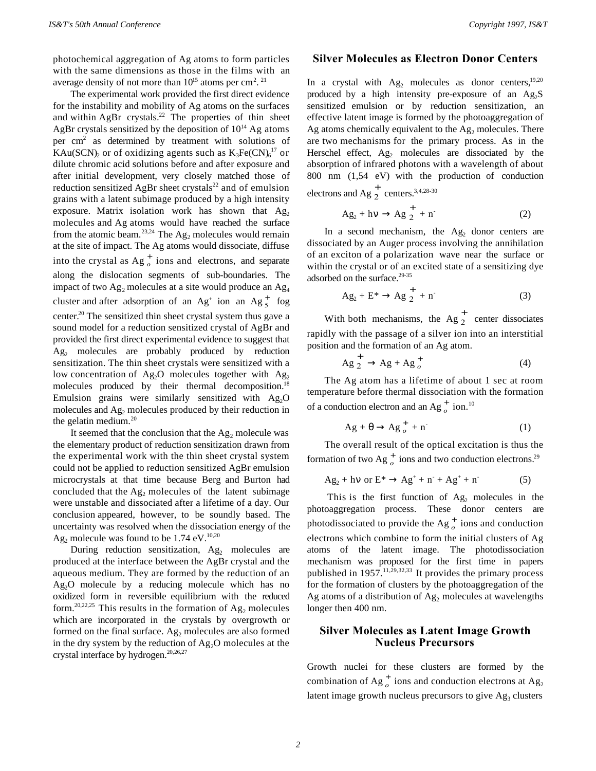photochemical aggregation of Ag atoms to form particles with the same dimensions as those in the films with an average density of not more than  $10^{15}$  atoms per cm<sup>2</sup>.<sup>21</sup>

The experimental work provided the first direct evidence for the instability and mobility of Ag atoms on the surfaces and within AgBr crystals.<sup>22</sup> The properties of thin sheet AgBr crystals sensitized by the deposition of  $10^{14}$  Ag atoms per cm<sup>2</sup> as determined by treatment with solutions of KAu(SCN)<sub>2</sub> or of oxidizing agents such as  $K_3Fe(CN)_6^{17}$  or dilute chromic acid solutions before and after exposure and after initial development, very closely matched those of reduction sensitized AgBr sheet crystals<sup>22</sup> and of emulsion grains with a latent subimage produced by a high intensity exposure. Matrix isolation work has shown that  $Ag<sub>2</sub>$ molecules and Ag atoms would have reached the surface from the atomic beam.<sup>23,24</sup> The  $Ag_2$  molecules would remain at the site of impact. The Ag atoms would dissociate, diffuse into the crystal as  $Ag_{o}^{+}$  ions and electrons, and separate along the dislocation segments of sub-boundaries. The impact of two  $Ag_2$  molecules at a site would produce an  $Ag_4$ cluster and after adsorption of an  $Ag^+$  ion an  $Ag^+$  fog center.<sup>20</sup> The sensitized thin sheet crystal system thus gave a sound model for a reduction sensitized crystal of AgBr and provided the first direct experimental evidence to suggest that  $Ag<sub>2</sub>$  molecules are probably produced by reduction sensitization. The thin sheet crystals were sensitized with a low concentration of  $Ag<sub>2</sub>O$  molecules together with  $Ag<sub>2</sub>$ molecules produced by their thermal decomposition.<sup>18</sup> Emulsion grains were similarly sensitized with  $Ag<sub>2</sub>O$ molecules and Ag<sub>2</sub> molecules produced by their reduction in the gelatin medium.<sup>20</sup>

It seemed that the conclusion that the  $Ag_2$  molecule was the elementary product of reduction sensitization drawn from the experimental work with the thin sheet crystal system could not be applied to reduction sensitized AgBr emulsion microcrystals at that time because Berg and Burton had concluded that the  $Ag_2$  molecules of the latent subimage were unstable and dissociated after a lifetime of a day. Our conclusion appeared, however, to be soundly based. The uncertainty was resolved when the dissociation energy of the  $\text{Ag}_2$  molecule was found to be 1.74 eV.<sup>10,20</sup>

During reduction sensitization,  $Ag<sub>2</sub>$  molecules are produced at the interface between the AgBr crystal and the aqueous medium. They are formed by the reduction of an  $Ag<sub>2</sub>O$  molecule by a reducing molecule which has no oxidized form in reversible equilibrium with the reduced form.<sup>20,22,25</sup> This results in the formation of  $Ag_2$  molecules which are incorporated in the crystals by overgrowth or formed on the final surface.  $Ag_2$  molecules are also formed in the dry system by the reduction of  $Ag<sub>2</sub>O$  molecules at the crystal interface by hydrogen. $20,26,27$ 

### **Silver Molecules as Electron Donor Centers**

In a crystal with  $Ag<sub>2</sub>$  molecules as donor centers,<sup>19,20</sup> produced by a high intensity pre-exposure of an  $Ag<sub>2</sub>S$ sensitized emulsion or by reduction sensitization, an effective latent image is formed by the photoaggregation of Ag atoms chemically equivalent to the  $Ag<sub>2</sub>$  molecules. There are two mechanisms for the primary process. As in the Herschel effect,  $Ag<sub>2</sub>$  molecules are dissociated by the absorption of infrared photons with a wavelength of about 800 nm (1,54 eV) with the production of conduction

electrons and Ag  $\frac{1}{2}$  centers.<sup>3,4,28-30</sup>

$$
Ag_2 + hv \rightarrow Ag\frac{+}{2} + n
$$
 (2)

In a second mechanism, the  $Ag<sub>2</sub>$  donor centers are dissociated by an Auger process involving the annihilation of an exciton of a polarization wave near the surface or within the crystal or of an excited state of a sensitizing dye adsorbed on the surface.<sup>29-35</sup>

$$
Ag_2 + E^* \rightarrow Ag\frac{+}{2} + n\tag{3}
$$

With both mechanisms, the  $Ag\frac{1}{2}$  center dissociates rapidly with the passage of a silver ion into an interstitial position and the formation of an Ag atom.

$$
Ag\stackrel{+}{2} \to Ag + Ag\stackrel{+}{\circ} (4)
$$

The Ag atom has a lifetime of about 1 sec at room temperature before thermal dissociation with the formation of a conduction electron and an  $Ag_{o}^{+}$  ion.<sup>10</sup>

$$
Ag + \theta \rightarrow Ag_{o}^{+} + n^{-}
$$
 (1)

The overall result of the optical excitation is thus the formation of two  $Ag_{o}^{+}$  ions and two conduction electrons.<sup>29</sup>

$$
Ag_2 + h\nu \text{ or } E^* \to Ag^+ + n^- + Ag^+ + n \tag{5}
$$

This is the first function of  $Ag<sub>2</sub>$  molecules in the photoaggregation process. These donor centers are photodissociated to provide the  $Ag_{o}^{+}$  ions and conduction electrons which combine to form the initial clusters of Ag atoms of the latent image. The photodissociation mechanism was proposed for the first time in papers published in  $1957$ .<sup>11,29,32,33</sup> It provides the primary process for the formation of clusters by the photoaggregation of the Ag atoms of a distribution of  $Ag<sub>2</sub>$  molecules at wavelengths longer then 400 nm.

# **Silver Molecules as Latent Image Growth Nucleus Precursors**

Growth nuclei for these clusters are formed by the combination of Ag<sup>+</sup><sub>o</sub> ions and conduction electrons at Ag<sub>2</sub> latent image growth nucleus precursors to give  $Ag<sub>3</sub>$  clusters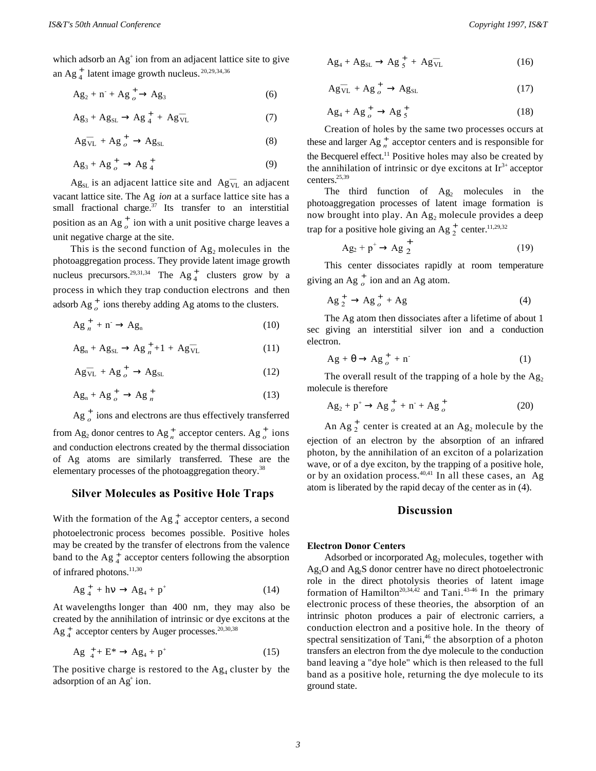which adsorb an Ag<sup>+</sup> ion from an adjacent lattice site to give an Ag $_4^+$  latent image growth nucleus.  $^{20,29,34,36}$ 

$$
Ag_2 + n + Ag_{o}^{+} \rightarrow Ag_3
$$
 (6)

$$
Ag_3 + Ag_{SL} \rightarrow Ag_{4}^{+} + Ag_{VL}^{-} \tag{7}
$$

$$
Ag_{VL}^- + Ag_{o}^+ \rightarrow Ag_{SL} \tag{8}
$$

$$
Ag_3 + Ag_{o}^+ \rightarrow Ag_{4}^+ \tag{9}
$$

 $\text{Ag}_{\text{SL}}$  is an adjacent lattice site and  $\text{Ag}_{\text{VL}}^-$  an adjacent vacant lattice site. The Ag *ion* at a surface lattice site has a small fractional charge. $37$  Its transfer to an interstitial position as an Ag<sup>+</sup> ion with a unit positive charge leaves a unit negative charge at the site.

This is the second function of  $Ag_2$  molecules in the photoaggregation process. They provide latent image growth nucleus precursors.<sup>29,31,34</sup> The Ag<sup>+</sup><sub>4</sub> clusters grow by a process in which they trap conduction electrons and then adsorb  $Ag_{o}^{+}$  ions thereby adding Ag atoms to the clusters.

$$
Ag_{n}^{+} + n^{-} \rightarrow Ag_{n}
$$
 (10)

$$
Ag_n + Ag_{SL} \rightarrow Ag_{n}^+ + 1 + Ag_{VL}^- \tag{11}
$$

$$
Ag_{VL}^- + Ag_{o}^+ \rightarrow Ag_{SL} \tag{12}
$$

$$
Ag_n + Ag_{o}^+ \rightarrow Ag_n^+
$$
 (13)

 $\text{Ag}$ <sup>+</sup> ions and electrons are thus effectively transferred

from  $Ag_2$  donor centres to  $Ag_n^+$  acceptor centers.  $Ag_o^+$  ions and conduction electrons created by the thermal dissociation of Ag atoms are similarly transferred. These are the elementary processes of the photoaggregation theory.<sup>38</sup>

### **Silver Molecules as Positive Hole Traps**

With the formation of the Ag  $_4^+$  acceptor centers, a second photoelectronic process becomes possible. Positive holes may be created by the transfer of electrons from the valence band to the Ag  $_4^+$  acceptor centers following the absorption of infrared photons.<sup>11,30</sup>

$$
Ag_{4}^{+} + h\nu \rightarrow Ag_{4} + p^{+} \tag{14}
$$

At wavelengths longer than 400 nm, they may also be created by the annihilation of intrinsic or dye excitons at the  $\text{Ag}^+_{4}$  acceptor centers by Auger processes.<sup>20,30,38</sup>

$$
Ag_{4}^{+} + E^{*} \rightarrow Ag_{4} + p^{+}
$$
 (15)

The positive charge is restored to the  $Ag_4$  cluster by the adsorption of an Ag<sup>+</sup> ion.

$$
Ag_4 + Ag_{SL} \rightarrow Ag_{5}^+ + Ag_{VL}^- \tag{16}
$$

$$
Ag_{VL}^- + Ag_{o}^+ \rightarrow Ag_{SL} \tag{17}
$$

$$
Ag_4 + Ag_{o}^+ \rightarrow Ag_{5}^+ \tag{18}
$$

Creation of holes by the same two processes occurs at these and larger  $Ag_n^+$  acceptor centers and is responsible for the Becquerel effect.<sup>11</sup> Positive holes may also be created by the annihilation of intrinsic or dye excitons at  $Ir<sup>3+</sup>$  acceptor centers.25,39

The third function of  $Ag<sub>2</sub>$  molecules in the photoaggregation processes of latent image formation is now brought into play. An  $Ag_2$  molecule provides a deep trap for a positive hole giving an Ag  $_2^+$  center.<sup>11,29,32</sup>

$$
Ag_2 + p^+ \rightarrow Ag\frac{+}{2}
$$
 (19)

This center dissociates rapidly at room temperature giving an Ag  $_{o}^{+}$  ion and an Ag atom.

$$
Ag\,i_{2}^{+} \rightarrow Ag\,i_{0}^{+} + Ag
$$
 (4)

The Ag atom then dissociates after a lifetime of about 1 sec giving an interstitial silver ion and a conduction electron.

$$
Ag + \theta \rightarrow Ag_{o}^{+} + n
$$
 (1)

The overall result of the trapping of a hole by the  $Ag<sub>2</sub>$ molecule is therefore

$$
Ag_2 + p^+ \to Ag_{o}^+ + n^- + Ag_{o}^+ \tag{20}
$$

An  $Ag_{2}^{+}$  center is created at an  $Ag_{2}$  molecule by the ejection of an electron by the absorption of an infrared photon, by the annihilation of an exciton of a polarization wave, or of a dye exciton, by the trapping of a positive hole, or by an oxidation process. $40,41$  In all these cases, an Ag atom is liberated by the rapid decay of the center as in (4).

#### **Discussion**

#### **Electron Donor Centers**

Adsorbed or incorporated  $Ag_2$  molecules, together with Ag<sub>2</sub>O and Ag<sub>2</sub>S donor centrer have no direct photoelectronic role in the direct photolysis theories of latent image formation of Hamilton<sup>20,34,42</sup> and Tani.<sup>43-46</sup> In the primary electronic process of these theories, the absorption of an intrinsic photon produces a pair of electronic carriers, a conduction electron and a positive hole. In the theory of spectral sensitization of Tani, $46$  the absorption of a photon transfers an electron from the dye molecule to the conduction band leaving a "dye hole" which is then released to the full band as a positive hole, returning the dye molecule to its ground state.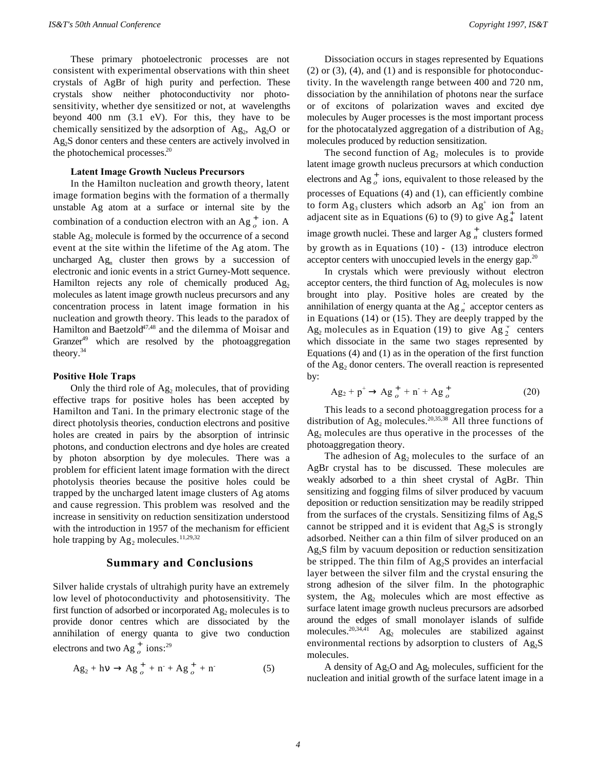These primary photoelectronic processes are not consistent with experimental observations with thin sheet crystals of AgBr of high purity and perfection. These crystals show neither photoconductivity nor photosensitivity, whether dye sensitized or not, at wavelengths beyond 400 nm (3.1 eV). For this, they have to be chemically sensitized by the adsorption of  $Ag_2$ ,  $Ag_2O$  or Ag<sub>2</sub>S donor centers and these centers are actively involved in the photochemical processes.<sup>20</sup>

#### **Latent Image Growth Nucleus Precursors**

In the Hamilton nucleation and growth theory, latent image formation begins with the formation of a thermally unstable Ag atom at a surface or internal site by the combination of a conduction electron with an  $Ag_{o}^{+}$  ion. A stable  $Ag_2$  molecule is formed by the occurrence of a second event at the site within the lifetime of the Ag atom. The uncharged  $Ag_n$  cluster then grows by a succession of electronic and ionic events in a strict Gurney-Mott sequence. Hamilton rejects any role of chemically produced  $Ag<sub>2</sub>$ molecules as latent image growth nucleus precursors and any concentration process in latent image formation in his nucleation and growth theory. This leads to the paradox of Hamilton and Baetzold<sup>47,48</sup> and the dilemma of Moisar and Granzer<sup>49</sup> which are resolved by the photoaggregation theory.<sup>34</sup>

#### **Positive Hole Traps**

Only the third role of  $Ag_2$  molecules, that of providing effective traps for positive holes has been accepted by Hamilton and Tani. In the primary electronic stage of the direct photolysis theories, conduction electrons and positive holes are created in pairs by the absorption of intrinsic photons, and conduction electrons and dye holes are created by photon absorption by dye molecules. There was a problem for efficient latent image formation with the direct photolysis theories because the positive holes could be trapped by the uncharged latent image clusters of Ag atoms and cause regression. This problem was resolved and the increase in sensitivity on reduction sensitization understood with the introduction in 1957 of the mechanism for efficient hole trapping by  $Ag_2$  molecules.<sup>11,29,32</sup>

## **Summary and Conclusions**

Silver halide crystals of ultrahigh purity have an extremely low level of photoconductivity and photosensitivity. The first function of adsorbed or incorporated  $Ag_2$  molecules is to provide donor centres which are dissociated by the annihilation of energy quanta to give two conduction electrons and two Ag<sup>+</sup> ions:<sup>29</sup>

$$
Ag_2 + hv \to Ag_{o}^+ + n + Ag_{o}^+ + n \tag{5}
$$

Dissociation occurs in stages represented by Equations  $(2)$  or  $(3)$ ,  $(4)$ , and  $(1)$  and is responsible for photoconductivity. In the wavelength range between 400 and 720 nm, dissociation by the annihilation of photons near the surface or of excitons of polarization waves and excited dye molecules by Auger processes is the most important process for the photocatalyzed aggregation of a distribution of  $Ag<sub>2</sub>$ molecules produced by reduction sensitization.

The second function of  $Ag<sub>2</sub>$  molecules is to provide latent image growth nucleus precursors at which conduction electrons and  $Ag_{o}^{+}$  ions, equivalent to those released by the processes of Equations (4) and (1), can efficiently combine to form  $Ag_3$  clusters which adsorb an  $Ag^+$  ion from an adjacent site as in Equations (6) to (9) to give  $Ag_4^+$  latent image growth nuclei. These and larger  $Ag_n^+$  clusters formed by growth as in Equations (10) - (13) introduce electron acceptor centers with unoccupied levels in the energy gap. $^{20}$ 

In crystals which were previously without electron acceptor centers, the third function of  $Ag_2$  molecules is now brought into play. Positive holes are created by the annihilation of energy quanta at the  $Ag_n^+$  acceptor centers as in Equations (14) or (15). They are deeply trapped by the  $Ag_2$  molecules as in Equation (19) to give  $Ag_2^+$  centers which dissociate in the same two stages represented by Equations (4) and (1) as in the operation of the first function of the  $Ag_2$  donor centers. The overall reaction is represented by:

$$
Ag_2 + p^+ \to Ag_{o}^+ + n^+ + Ag_{o}^+ \tag{20}
$$

This leads to a second photoaggregation process for a distribution of  $Ag_2$  molecules.<sup>20,35,38</sup> All three functions of Ag<sub>2</sub> molecules are thus operative in the processes of the photoaggregation theory.

The adhesion of  $Ag_2$  molecules to the surface of an AgBr crystal has to be discussed. These molecules are weakly adsorbed to a thin sheet crystal of AgBr. Thin sensitizing and fogging films of silver produced by vacuum deposition or reduction sensitization may be readily stripped from the surfaces of the crystals. Sensitizing films of  $Ag<sub>2</sub>S$ cannot be stripped and it is evident that  $Ag<sub>2</sub>S$  is strongly adsorbed. Neither can a thin film of silver produced on an  $Ag<sub>2</sub>S$  film by vacuum deposition or reduction sensitization be stripped. The thin film of  $Ag<sub>2</sub>S$  provides an interfacial layer between the silver film and the crystal ensuring the strong adhesion of the silver film. In the photographic system, the  $Ag<sub>2</sub>$  molecules which are most effective as surface latent image growth nucleus precursors are adsorbed around the edges of small monolayer islands of sulfide molecules.20,34,41 Ag2 molecules are stabilized against environmental rections by adsorption to clusters of  $Ag<sub>2</sub>S$ molecules.

A density of  $Ag_2O$  and  $Ag_2$  molecules, sufficient for the nucleation and initial growth of the surface latent image in a